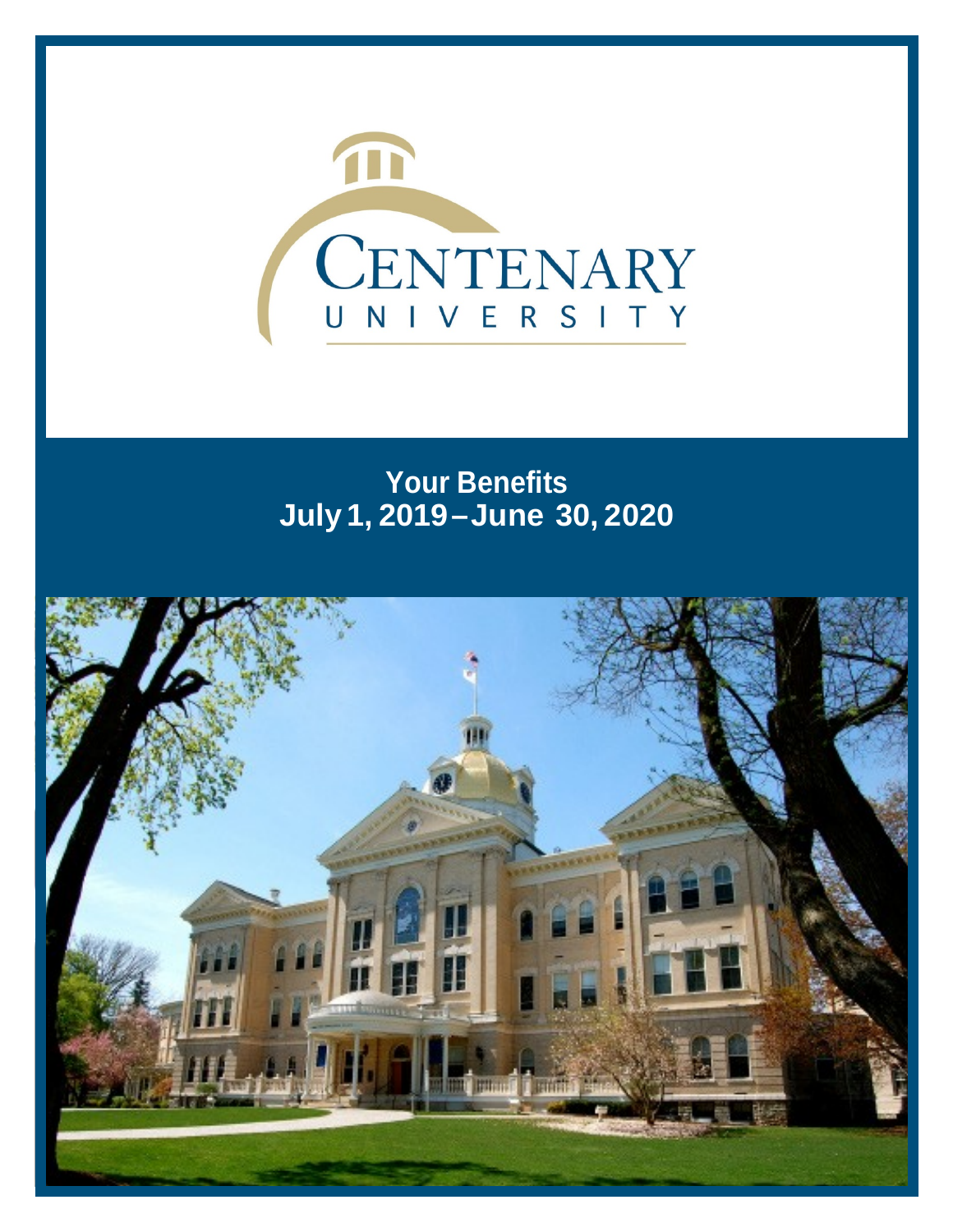

# **Your Benefits July 1, 2019–June 30, 2020**

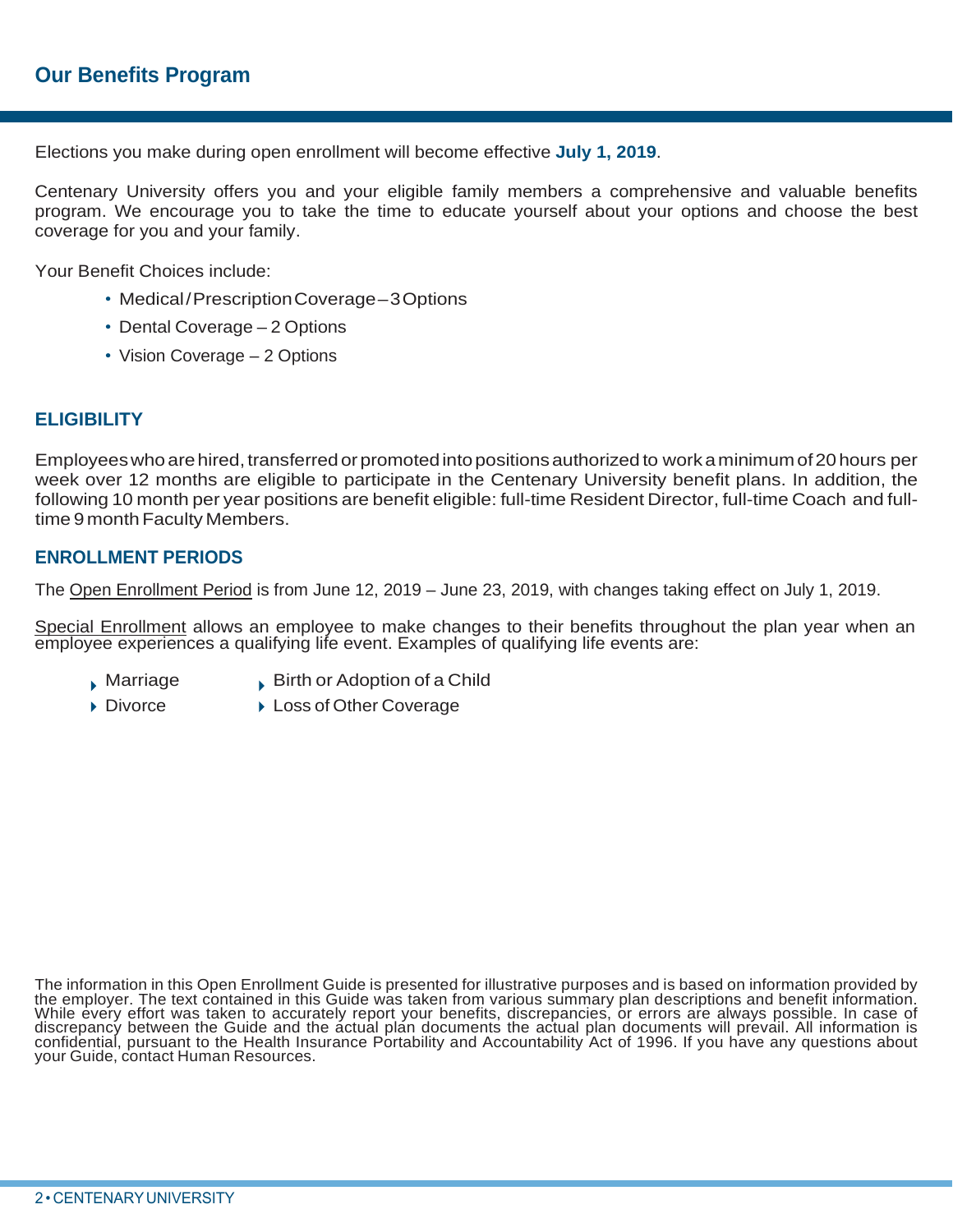Elections you make during open enrollment will become effective **July 1, 2019**.

Centenary University offers you and your eligible family members a comprehensive and valuable benefits program. We encourage you to take the time to educate yourself about your options and choose the best coverage for you and your family.

Your Benefit Choices include:

- Medical/PrescriptionCoverage–3Options
- Dental Coverage 2 Options
- Vision Coverage 2 Options

# **ELIGIBILITY**

Employees who are hired, transferred or promoted into positions authorized to work a minimum of 20 hours per week over 12 months are eligible to participate in the Centenary University benefit plans. In addition, the following 10 month per year positions are benefit eligible: full-time Resident Director, full-time Coach and fulltime 9 month Faculty Members.

### **ENROLLMENT PERIODS**

The Open Enrollment Period is from June 12, 2019 – June 23, 2019, with changes taking effect on July 1, 2019.

Special Enrollment allows an employee to make changes to their benefits throughout the plan year when an employee experiences a qualifying life event. Examples of qualifying life events are:

- 
- $\blacksquare$  Marriage  $\blacksquare$  Birth or Adoption of a Child
- ▶ Divorce ▶ Loss of Other Coverage

The information in this Open Enrollment Guide is presented for illustrative purposes and is based on information provided by<br>the employer. The text contained in this Guide was taken from various summary plan descriptions a discrepancy between the Guide and the actual plan documents the actual plan documents will prevail. All information is<br>confidential, pursuant to the Health Insurance Portability and Accountability Act of 1996. If you have your Guide, contact Human Resources.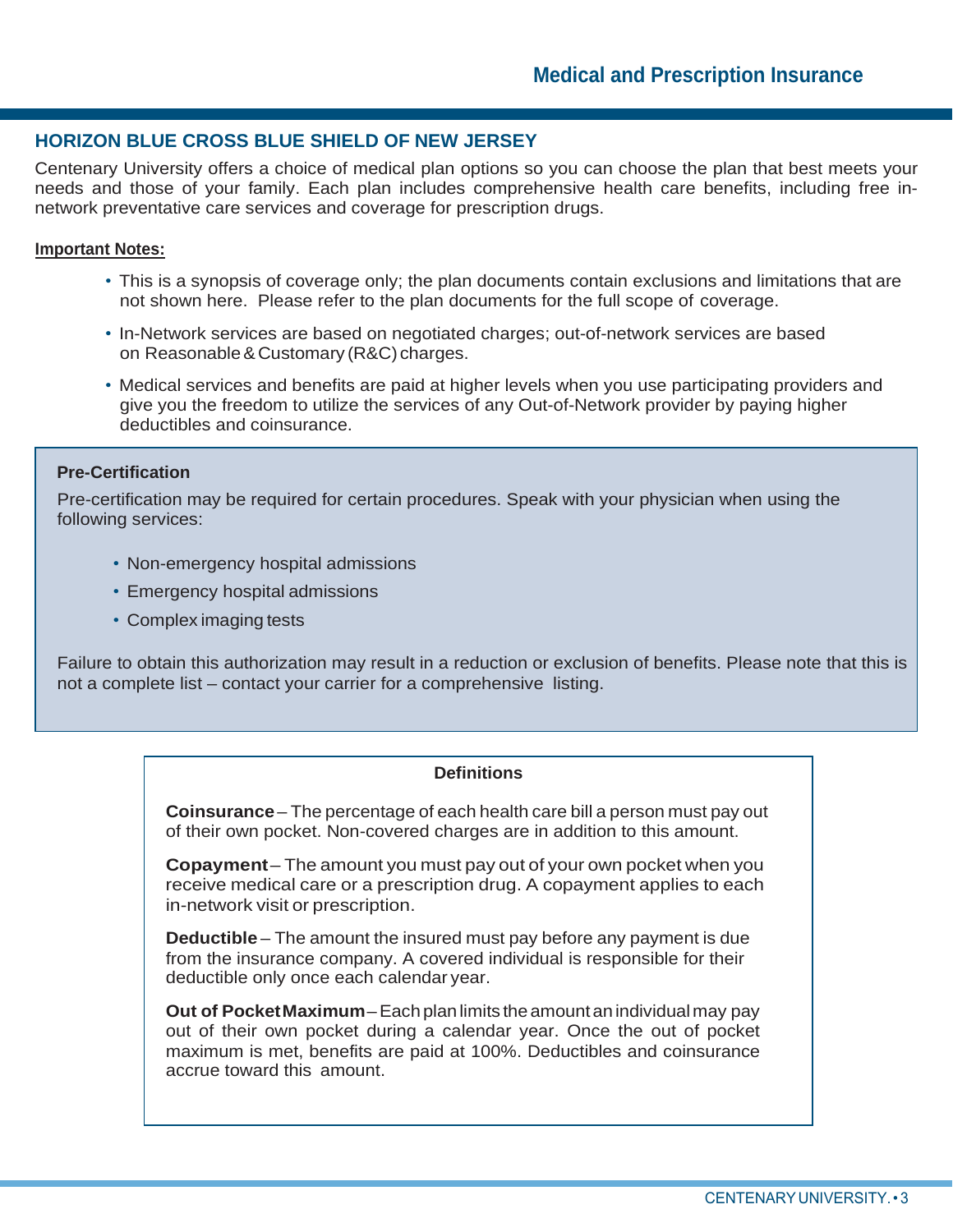### **HORIZON BLUE CROSS BLUE SHIELD OF NEW JERSEY**

Centenary University offers a choice of medical plan options so you can choose the plan that best meets your needs and those of your family. Each plan includes comprehensive health care benefits, including free innetwork preventative care services and coverage for prescription drugs.

### **Important Notes:**

- This is a synopsis of coverage only; the plan documents contain exclusions and limitations that are not shown here. Please refer to the plan documents for the full scope of coverage.
- In-Network services are based on negotiated charges; out-of-network services are based on Reasonable&Customary (R&C) charges.
- Medical services and benefits are paid at higher levels when you use participating providers and give you the freedom to utilize the services of any Out-of-Network provider by paying higher deductibles and coinsurance.

### **Pre-Certification**

Pre-certification may be required for certain procedures. Speak with your physician when using the following services:

- Non-emergency hospital admissions
- Emergency hospital admissions
- Complex imaging tests

Failure to obtain this authorization may result in a reduction or exclusion of benefits. Please note that this is not a complete list – contact your carrier for a comprehensive listing.

### **Definitions**

**Coinsurance** – The percentage of each health care bill a person must pay out of their own pocket. Non-covered charges are in addition to this amount.

**Copayment**– The amount you must pay out of your own pocket when you receive medical care or a prescription drug. A copayment applies to each in-network visit or prescription.

**Deductible** – The amount the insured must pay before any payment is due from the insurance company. A covered individual is responsible for their deductible only once each calendar year.

**Out of PocketMaximum**–Eachplanlimits theamountanindividualmay pay out of their own pocket during a calendar year. Once the out of pocket maximum is met, benefits are paid at 100%. Deductibles and coinsurance accrue toward this amount.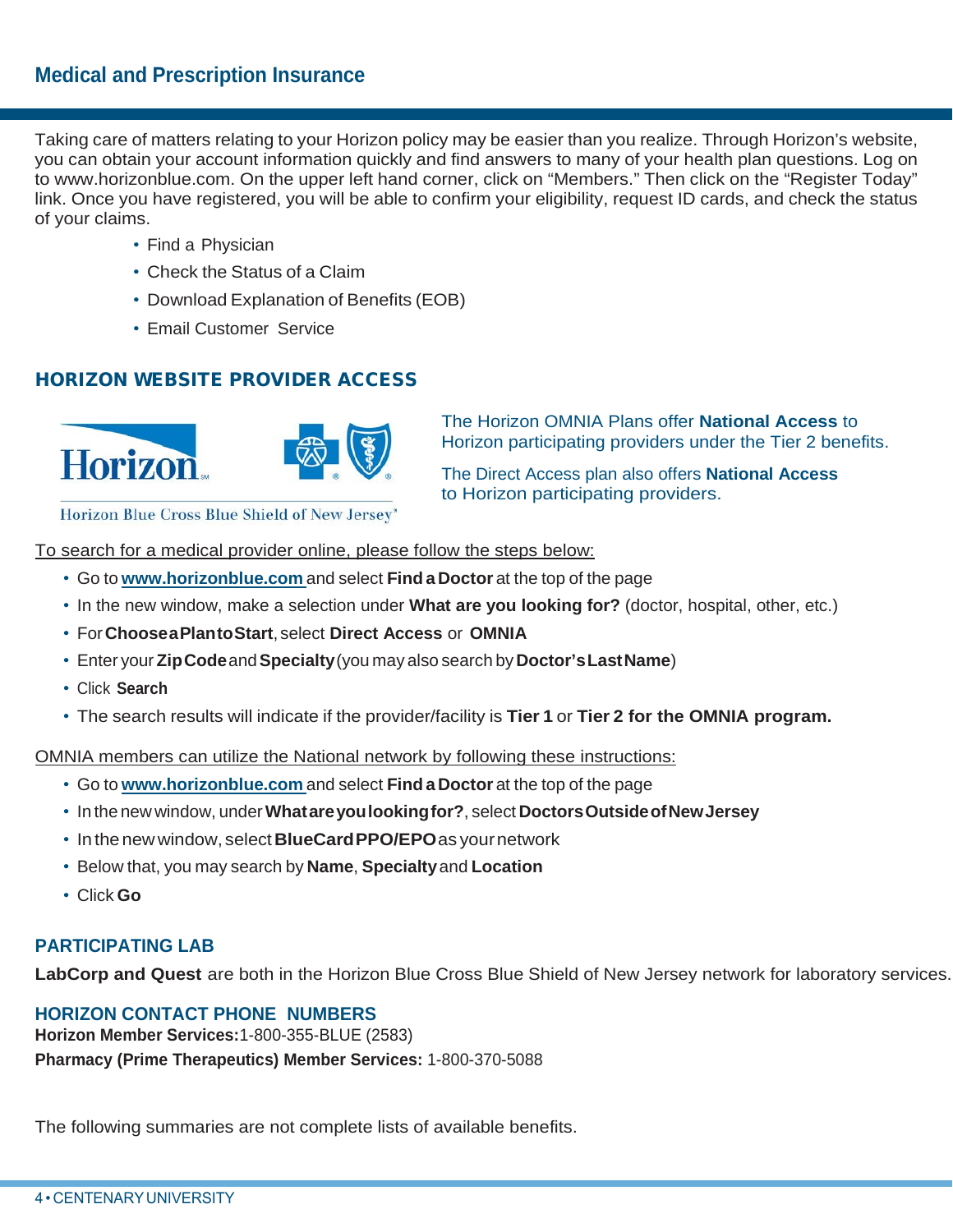Taking care of matters relating to your Horizon policy may be easier than you realize. Through Horizon's website, you can obtain your account information quickly and find answers to many of your health plan questions. Log on to [www.horizonblue.com.](http://www.horizonblue.com/) On the upper left hand corner, click on "Members." Then click on the "Register Today" link. Once you have registered, you will be able to confirm your eligibility, request ID cards, and check the status of your claims.

- Find a Physician
- Check the Status of a Claim
- Download Explanation of Benefits (EOB)
- Email Customer Service

# HORIZON WEBSITE PROVIDER ACCESS



The Horizon OMNIA Plans offer **National Access** to Horizon participating providers under the Tier 2 benefits.

The Direct Access plan also offers **National Access** to Horizon participating providers.

Horizon Blue Cross Blue Shield of New Jersey"

To search for a medical provider online, please follow the steps below:

- Go to **[www.horizonblue.com](http://www.horizonblue.com/)** and select **Find a Doctor** at the top of the page
- In the new window, make a selection under **What are you looking for?** (doctor, hospital, other, etc.)
- For**ChooseaPlantoStart**,select **Direct Access** or **OMNIA**
- Enter your **ZipCode**and**Specialty**(you may also search by**Doctor'sLastName**)
- Click **Search**
- The search results will indicate if the provider/facility is **Tier 1** or **Tier 2 for the OMNIA program.**

OMNIA members can utilize the National network by following these instructions:

- Go to **[www.horizonblue.com](http://www.horizonblue.com/)** and select **Find a Doctor** at the top of the page
- In the new window, under**Whatareyoulookingfor?**, select **DoctorsOutsideofNewJersey**
- Inthe newwindow, select**BlueCardPPO/EPO**as yournetwork
- Below that, you may search by **Name**, **Specialty**and **Location**
- Click **Go**

# **PARTICIPATING LAB**

**LabCorp and Quest** are both in the Horizon Blue Cross Blue Shield of New Jersey network for laboratory services.

# **HORIZON CONTACT PHONE NUMBERS**

**Horizon Member Services:**1-800-355-BLUE (2583) **Pharmacy (Prime Therapeutics) Member Services:** 1-800-370-5088

The following summaries are not complete lists of available benefits.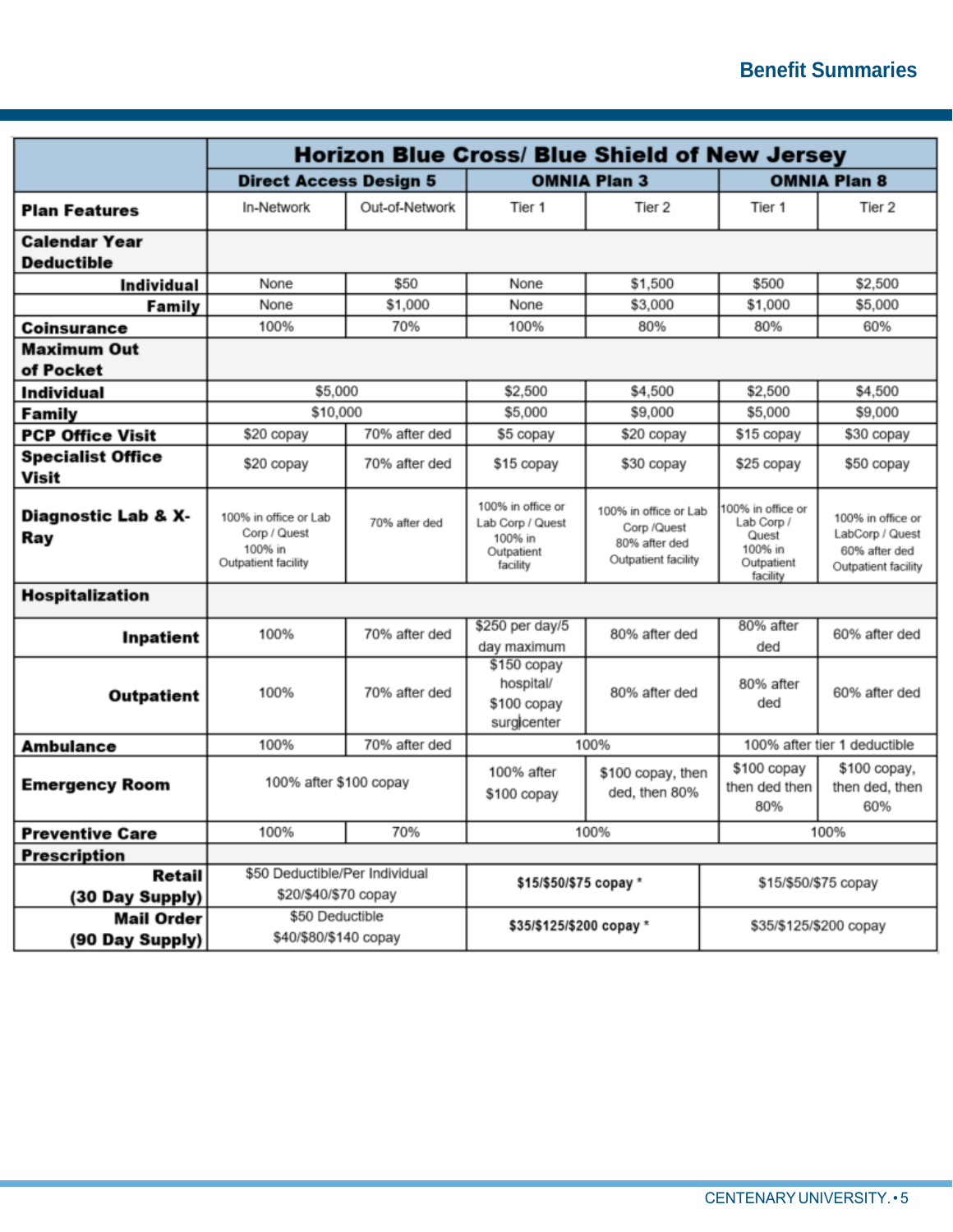|                                           | <b>Horizon Blue Cross/ Blue Shield of New Jersey</b>                    |                |                                                                            |                                                                              |                                                                               |                                                                              |  |
|-------------------------------------------|-------------------------------------------------------------------------|----------------|----------------------------------------------------------------------------|------------------------------------------------------------------------------|-------------------------------------------------------------------------------|------------------------------------------------------------------------------|--|
|                                           | <b>Direct Access Design 5</b>                                           |                | <b>OMNIA Plan 3</b>                                                        |                                                                              |                                                                               | <b>OMNIA Plan 8</b>                                                          |  |
| <b>Plan Features</b>                      | In-Network                                                              | Out-of-Network | Tier 1                                                                     | Tier 2                                                                       | Tier 1                                                                        | Tier 2                                                                       |  |
| <b>Calendar Year</b><br><b>Deductible</b> |                                                                         |                |                                                                            |                                                                              |                                                                               |                                                                              |  |
| <b>Individual</b>                         | None                                                                    | \$50           | None                                                                       | \$1,500                                                                      | \$500                                                                         | \$2,500                                                                      |  |
| Family                                    | None                                                                    | \$1,000        | None                                                                       | \$3,000                                                                      | \$1,000                                                                       | \$5,000                                                                      |  |
| <b>Coinsurance</b>                        | 100%                                                                    | 70%            | 100%                                                                       | 80%                                                                          | 80%                                                                           | 60%                                                                          |  |
| <b>Maximum Out</b><br>of Pocket           |                                                                         |                |                                                                            |                                                                              |                                                                               |                                                                              |  |
| <b>Individual</b>                         | \$5,000                                                                 |                | \$2,500                                                                    | \$4,500                                                                      | \$2,500                                                                       | \$4,500                                                                      |  |
| Family                                    | \$10,000                                                                |                | \$5,000                                                                    | \$9,000                                                                      | \$5,000                                                                       | \$9,000                                                                      |  |
| <b>PCP Office Visit</b>                   | \$20 copay                                                              | 70% after ded  | \$5 copay                                                                  | \$20 copay                                                                   | \$15 copay                                                                    | \$30 copay                                                                   |  |
| <b>Specialist Office</b><br><b>Visit</b>  | \$20 copay                                                              | 70% after ded  | \$15 copay                                                                 | \$30 copay                                                                   | \$25 copay                                                                    | \$50 copay                                                                   |  |
| Diagnostic Lab & X-<br>Ray                | 100% in office or Lab<br>Corp / Quest<br>100% in<br>Outpatient facility | 70% after ded  | 100% in office or<br>Lab Corp / Quest<br>100% in<br>Outpatient<br>facility | 100% in office or Lab<br>Corp /Quest<br>80% after ded<br>Outpatient facility | 100% in office or<br>Lab Corp /<br>Quest<br>100% in<br>Outpatient<br>facility | 100% in office or<br>LabCorp / Quest<br>60% after ded<br>Outpatient facility |  |
| <b>Hospitalization</b>                    |                                                                         |                |                                                                            |                                                                              |                                                                               |                                                                              |  |
| Inpatient                                 | 100%                                                                    | 70% after ded  | \$250 per day/5<br>day maximum                                             | 80% after ded                                                                | 80% after<br>ded                                                              | 60% after ded                                                                |  |
| <b>Outpatient</b>                         | 100%                                                                    | 70% after ded  | \$150 copay<br>hospital/<br>\$100 copay<br>surgicenter                     | 80% after ded                                                                | 80% after<br>ded                                                              | 60% after ded                                                                |  |
| <b>Ambulance</b>                          | 100%                                                                    | 70% after ded  | 100%                                                                       |                                                                              |                                                                               | 100% after tier 1 deductible                                                 |  |
| <b>Emergency Room</b>                     | 100% after \$100 copay                                                  |                | 100% after<br>\$100 copay, then<br>ded, then 80%<br>\$100 copay            |                                                                              | \$100 copay<br>then ded then<br>80%                                           | \$100 copay,<br>then ded, then<br>60%                                        |  |
| <b>Preventive Care</b>                    | 100%                                                                    | 70%            | 100%                                                                       |                                                                              |                                                                               | 100%                                                                         |  |
| <b>Prescription</b>                       |                                                                         |                |                                                                            |                                                                              |                                                                               |                                                                              |  |
| Retail                                    | \$50 Deductible/Per Individual                                          |                | \$15/\$50/\$75 copay *                                                     |                                                                              |                                                                               | \$15/\$50/\$75 copay                                                         |  |
| (30 Day Supply)                           | \$20/\$40/\$70 copay                                                    |                |                                                                            |                                                                              |                                                                               |                                                                              |  |
| <b>Mail Order</b>                         | \$50 Deductible                                                         |                | \$35/\$125/\$200 copay *                                                   |                                                                              |                                                                               | \$35/\$125/\$200 copay                                                       |  |
| (90 Day Supply)                           | \$40/\$80/\$140 copay                                                   |                |                                                                            |                                                                              |                                                                               |                                                                              |  |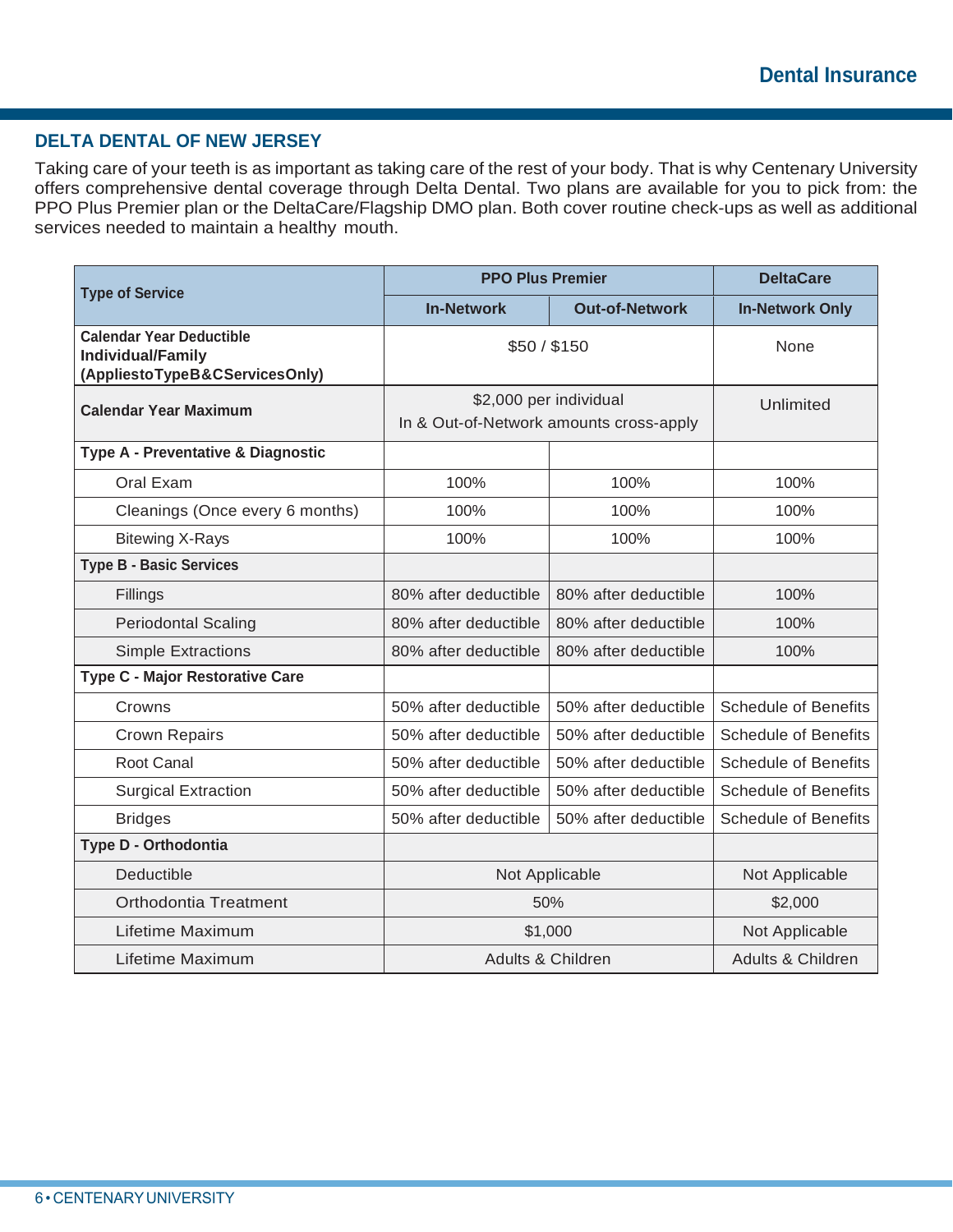# **DELTA DENTAL OF NEW JERSEY**

Taking care of your teeth is as important as taking care of the rest of your body. That is why Centenary University offers comprehensive dental coverage through Delta Dental. Two plans are available for you to pick from: the PPO Plus Premier plan or the DeltaCare/Flagship DMO plan. Both cover routine check-ups as well as additional services needed to maintain a healthy mouth.

|                                                                                               | <b>PPO Plus Premier</b>                                           | <b>DeltaCare</b>      |                             |
|-----------------------------------------------------------------------------------------------|-------------------------------------------------------------------|-----------------------|-----------------------------|
| <b>Type of Service</b>                                                                        | <b>In-Network</b>                                                 | <b>Out-of-Network</b> | <b>In-Network Only</b>      |
| <b>Calendar Year Deductible</b><br><b>Individual/Family</b><br>(AppliestoTypeB&CServicesOnly) | \$50/\$150                                                        | None                  |                             |
| <b>Calendar Year Maximum</b>                                                                  | \$2,000 per individual<br>In & Out-of-Network amounts cross-apply | Unlimited             |                             |
| Type A - Preventative & Diagnostic                                                            |                                                                   |                       |                             |
| Oral Exam                                                                                     | 100%                                                              | 100%                  | 100%                        |
| Cleanings (Once every 6 months)                                                               | 100%                                                              | 100%                  | 100%                        |
| <b>Bitewing X-Rays</b>                                                                        | 100%                                                              | 100%                  | 100%                        |
| <b>Type B - Basic Services</b>                                                                |                                                                   |                       |                             |
| Fillings                                                                                      | 80% after deductible                                              | 80% after deductible  | 100%                        |
| <b>Periodontal Scaling</b>                                                                    | 80% after deductible                                              | 80% after deductible  | 100%                        |
| <b>Simple Extractions</b>                                                                     | 80% after deductible                                              | 80% after deductible  | 100%                        |
| <b>Type C - Major Restorative Care</b>                                                        |                                                                   |                       |                             |
| Crowns                                                                                        | 50% after deductible                                              | 50% after deductible  | <b>Schedule of Benefits</b> |
| <b>Crown Repairs</b>                                                                          | 50% after deductible                                              | 50% after deductible  | <b>Schedule of Benefits</b> |
| <b>Root Canal</b>                                                                             | 50% after deductible                                              | 50% after deductible  | <b>Schedule of Benefits</b> |
| <b>Surgical Extraction</b>                                                                    | 50% after deductible                                              | 50% after deductible  | <b>Schedule of Benefits</b> |
| <b>Bridges</b>                                                                                | 50% after deductible                                              | 50% after deductible  | <b>Schedule of Benefits</b> |
| Type D - Orthodontia                                                                          |                                                                   |                       |                             |
| Deductible                                                                                    | Not Applicable                                                    |                       | Not Applicable              |
| Orthodontia Treatment                                                                         | 50%                                                               | \$2,000               |                             |
| Lifetime Maximum                                                                              | \$1,000                                                           | Not Applicable        |                             |
| Lifetime Maximum                                                                              | Adults & Children                                                 | Adults & Children     |                             |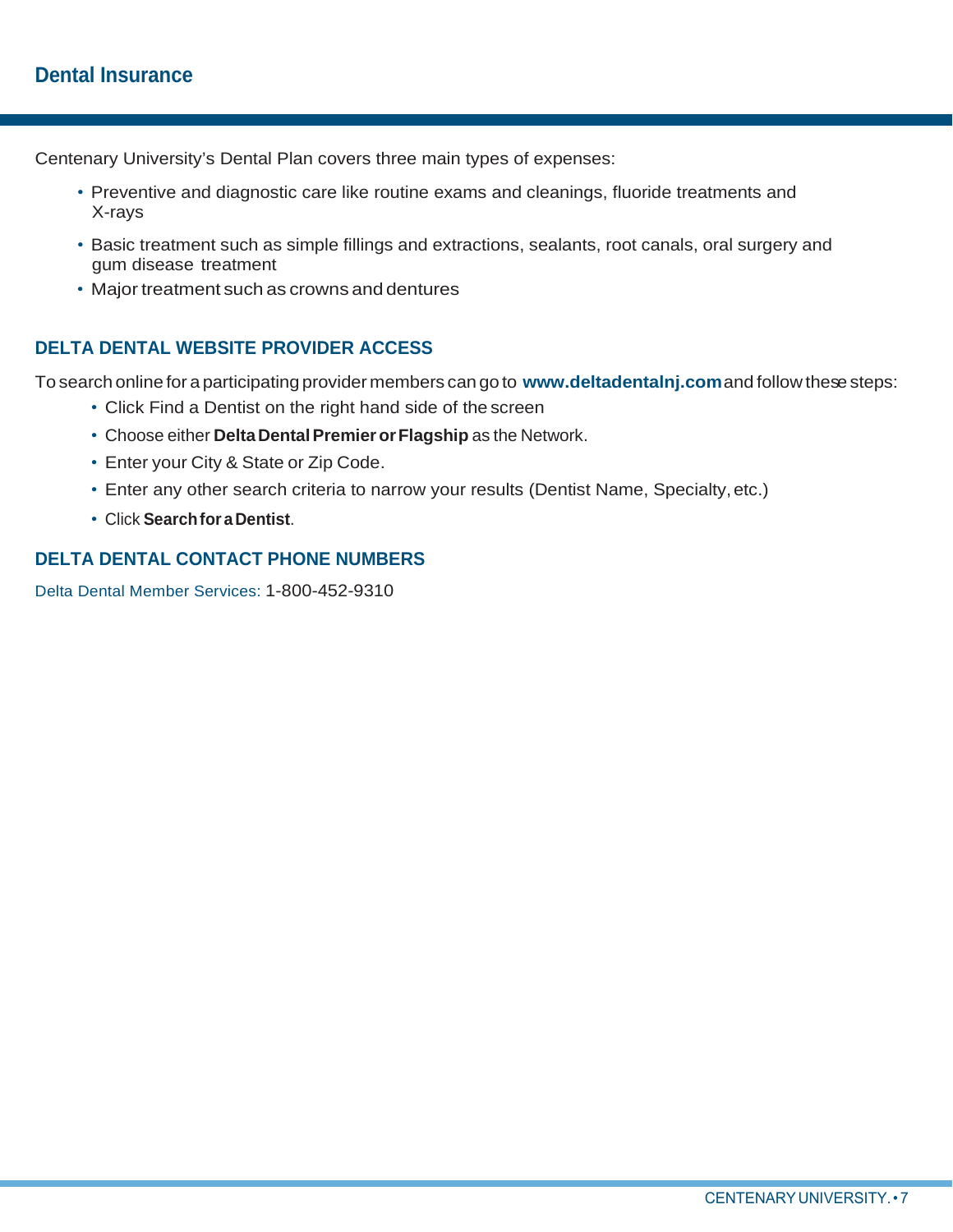Centenary University's Dental Plan covers three main types of expenses:

- Preventive and diagnostic care like routine exams and cleanings, fluoride treatments and X-rays
- Basic treatment such as simple fillings and extractions, sealants, root canals, oral surgery and gum disease treatment
- Major treatment such as crowns and dentures

# **DELTA DENTAL WEBSITE PROVIDER ACCESS**

To search online for a participating provider members can go to **[www.deltadentalnj.com](http://www.deltadentalnj.com/)**and follow these steps:

- Click Find a Dentist on the right hand side of the screen
- Choose either **DeltaDentalPremierorFlagship** as the Network.
- Enter your City & State or Zip Code.
- Enter any other search criteria to narrow your results (Dentist Name, Specialty,etc.)
- Click **Searchfor a Dentist**.

# **DELTA DENTAL CONTACT PHONE NUMBERS**

Delta Dental Member Services: 1-800-452-9310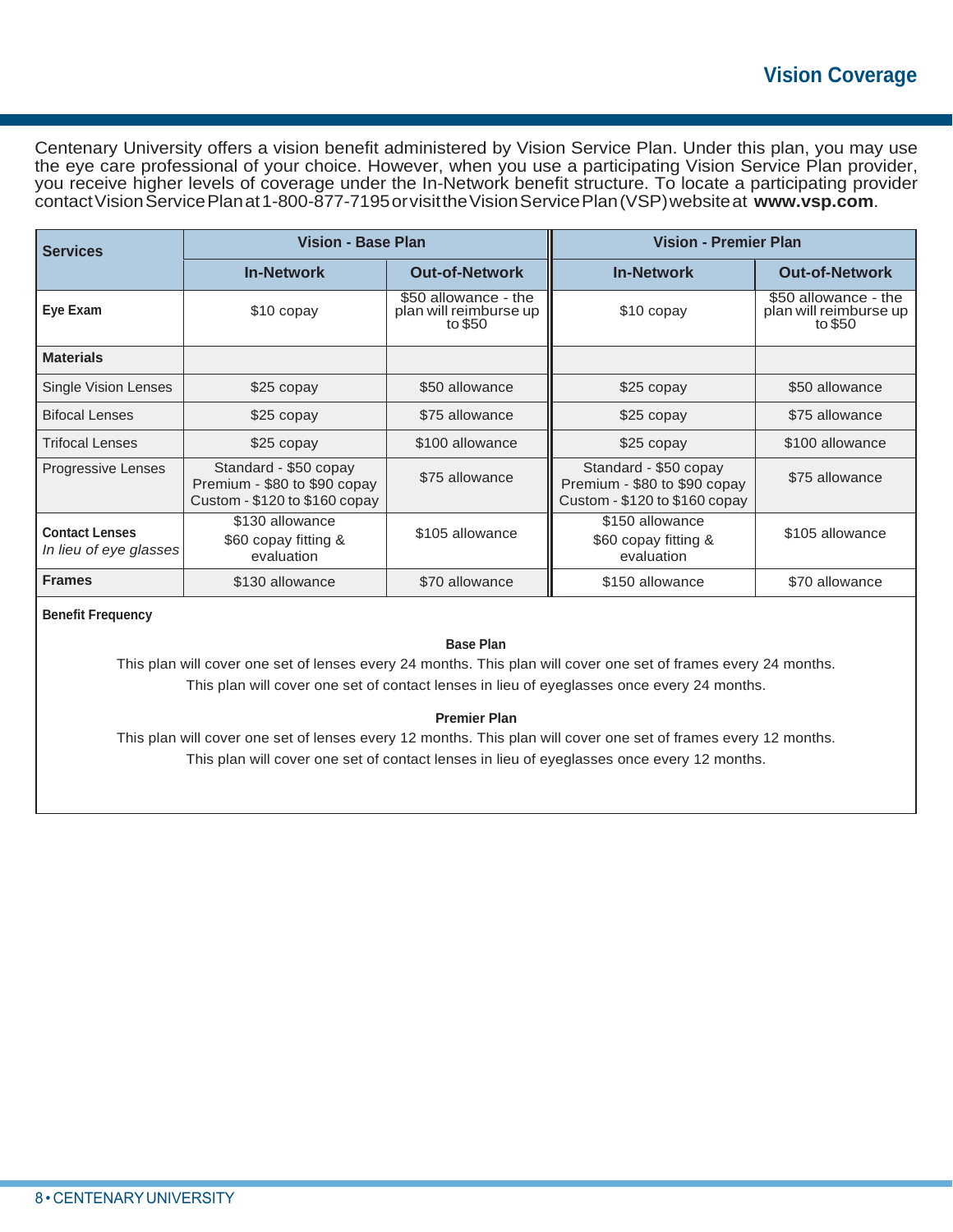# **Vision Coverage**

Centenary University offers a vision benefit administered by Vision Service Plan. Under this plan, you may use the eye care professional of your choice. However, when you use a participating Vision Service Plan provider, you receive higher levels of coverage under the In-Network benefit structure. To locate a participating provider contactVisionServicePlanat1-800-877-7195orvisittheVisionServicePlan(VSP)websiteat **[www.vsp.com](http://www.vsp.com/)**.

| <b>Services</b>                                 | <b>Vision - Base Plan</b>                                                                |                                                           | <b>Vision - Premier Plan</b>                                                             |                                                           |  |
|-------------------------------------------------|------------------------------------------------------------------------------------------|-----------------------------------------------------------|------------------------------------------------------------------------------------------|-----------------------------------------------------------|--|
|                                                 | <b>In-Network</b>                                                                        | <b>Out-of-Network</b>                                     | <b>In-Network</b>                                                                        | <b>Out-of-Network</b>                                     |  |
| Eye Exam                                        | \$10 copay                                                                               | \$50 allowance - the<br>plan will reimburse up<br>to \$50 | \$10 copay                                                                               | \$50 allowance - the<br>plan will reimburse up<br>to \$50 |  |
| <b>Materials</b>                                |                                                                                          |                                                           |                                                                                          |                                                           |  |
| Single Vision Lenses                            | \$25 copay                                                                               | \$50 allowance                                            | \$25 copay                                                                               | \$50 allowance                                            |  |
| <b>Bifocal Lenses</b>                           | \$25 copay                                                                               | \$75 allowance                                            | \$25 copay                                                                               | \$75 allowance                                            |  |
| <b>Trifocal Lenses</b>                          | \$25 copay                                                                               | \$100 allowance                                           | \$25 copay                                                                               | \$100 allowance                                           |  |
| Progressive Lenses                              | Standard - \$50 copay<br>Premium - \$80 to \$90 copay<br>Custom - $$120$ to $$160$ copay | \$75 allowance                                            | Standard - \$50 copay<br>Premium - \$80 to \$90 copay<br>Custom - $$120$ to $$160$ copay | \$75 allowance                                            |  |
| <b>Contact Lenses</b><br>In lieu of eye glasses | \$130 allowance<br>\$60 copay fitting &<br>evaluation                                    | \$105 allowance                                           | \$150 allowance<br>\$60 copay fitting &<br>evaluation                                    | \$105 allowance                                           |  |
| <b>Frames</b>                                   | \$130 allowance                                                                          | \$70 allowance                                            | \$150 allowance                                                                          | \$70 allowance                                            |  |

**Benefit Frequency**

### **Base Plan**

This plan will cover one set of lenses every 24 months. This plan will cover one set of frames every 24 months. This plan will cover one set of contact lenses in lieu of eyeglasses once every 24 months.

#### **Premier Plan**

This plan will cover one set of lenses every 12 months. This plan will cover one set of frames every 12 months. This plan will cover one set of contact lenses in lieu of eyeglasses once every 12 months.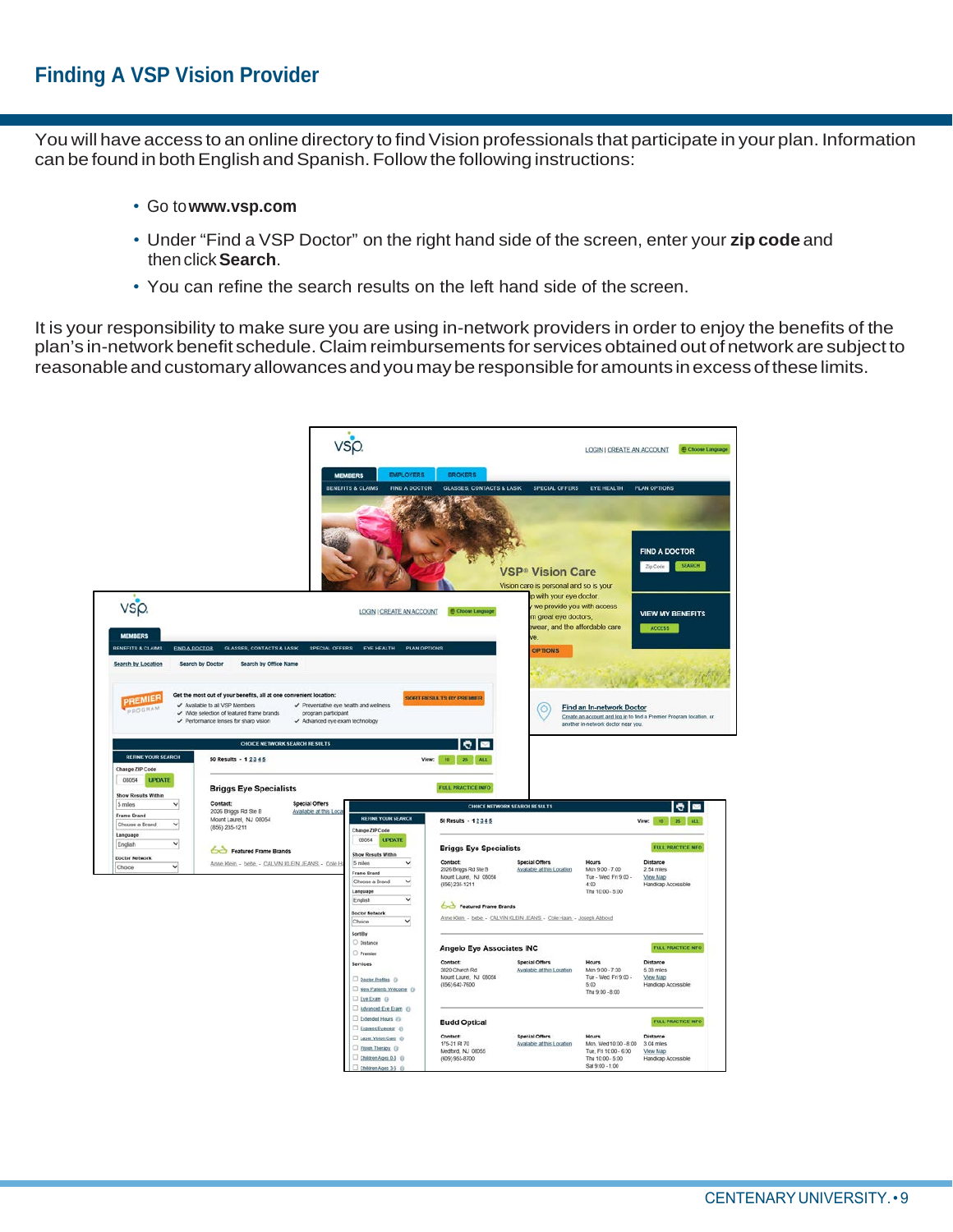You will have access to an online directory to find Vision professionals that participate in your plan. Information can be found in both English and Spanish. Follow the following instructions:

- Go to**[www.vsp.com](http://www.vsp.com/)**
- Under "Find a VSP Doctor" on the right hand side of the screen, enter your **zip code** and then click**Search**.
- You can refine the search results on the left hand side of the screen.

It is your responsibility to make sure you are using in-network providers in order to enjoy the benefits of the plan's in-network benefit schedule. Claim reimbursements for services obtained out ofnetwork are subject to reasonable and customary allowances and you may be responsible for amounts in excess of these limits.

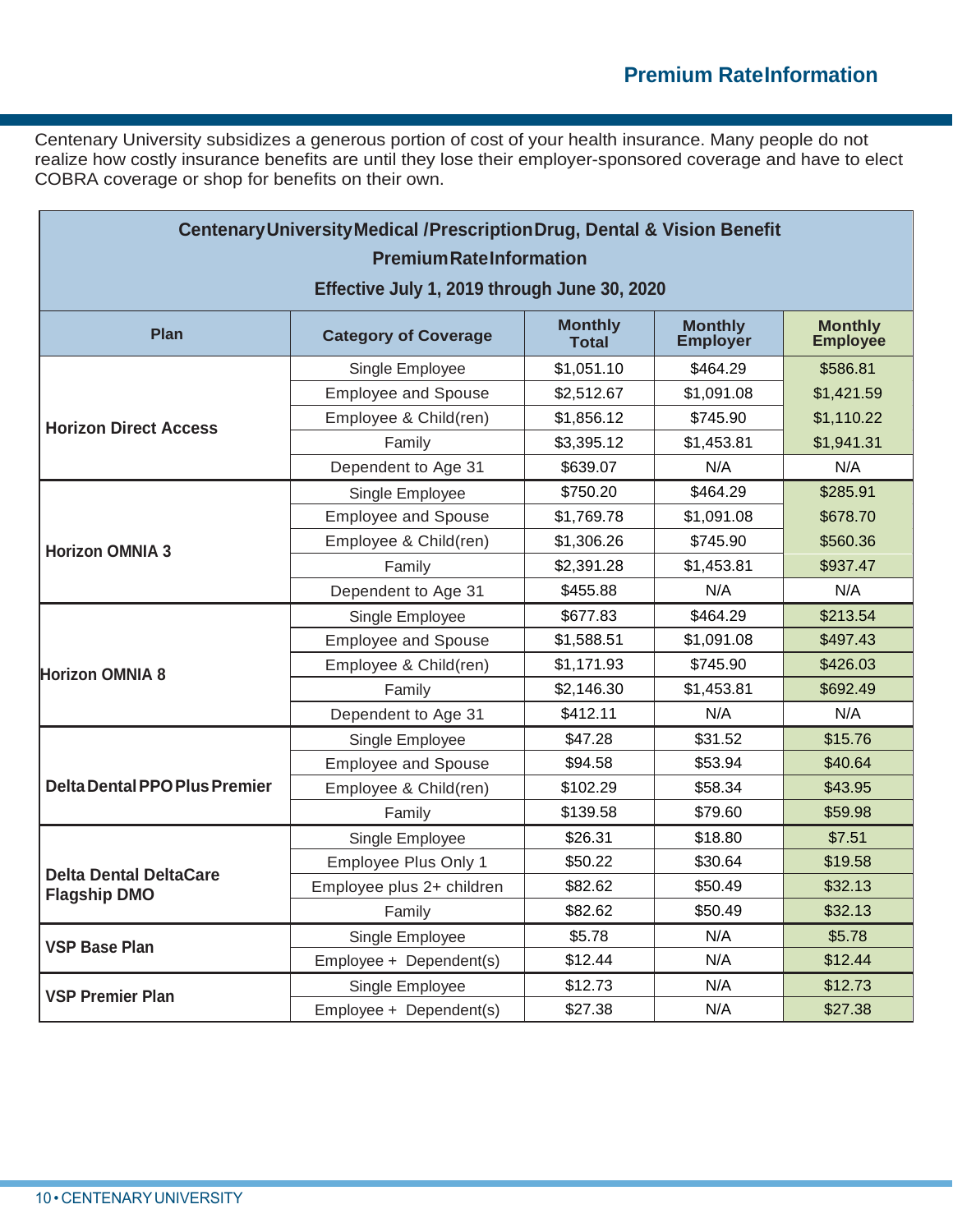Centenary University subsidizes a generous portion of cost of your health insurance. Many people do not realize how costly insurance benefits are until they lose their employer-sponsored coverage and have to elect COBRA coverage or shop for benefits on their own.

| <b>Centenary University Medical /Prescription Drug, Dental &amp; Vision Benefit</b><br><b>Premium Rate Information</b> |                             |                                |                                   |                                   |  |  |
|------------------------------------------------------------------------------------------------------------------------|-----------------------------|--------------------------------|-----------------------------------|-----------------------------------|--|--|
| Effective July 1, 2019 through June 30, 2020                                                                           |                             |                                |                                   |                                   |  |  |
| Plan                                                                                                                   | <b>Category of Coverage</b> | <b>Monthly</b><br><b>Total</b> | <b>Monthly</b><br><b>Employer</b> | <b>Monthly</b><br><b>Employée</b> |  |  |
|                                                                                                                        | Single Employee             | \$1,051.10                     | \$464.29                          | \$586.81                          |  |  |
|                                                                                                                        | <b>Employee and Spouse</b>  | \$2,512.67                     | \$1,091.08                        | \$1,421.59                        |  |  |
| <b>Horizon Direct Access</b>                                                                                           | Employee & Child(ren)       | \$1,856.12                     | \$745.90                          | \$1,110.22                        |  |  |
|                                                                                                                        | Family                      | \$3,395.12                     | \$1,453.81                        | \$1,941.31                        |  |  |
|                                                                                                                        | Dependent to Age 31         | \$639.07                       | N/A                               | N/A                               |  |  |
|                                                                                                                        | Single Employee             | \$750.20                       | \$464.29                          | \$285.91                          |  |  |
|                                                                                                                        | <b>Employee and Spouse</b>  | \$1,769.78                     | \$1,091.08                        | \$678.70                          |  |  |
| <b>Horizon OMNIA 3</b>                                                                                                 | Employee & Child(ren)       | \$1,306.26                     | \$745.90                          | \$560.36                          |  |  |
|                                                                                                                        | Family                      | \$2,391.28                     | \$1,453.81                        | \$937.47                          |  |  |
|                                                                                                                        | Dependent to Age 31         | \$455.88                       | N/A                               | N/A                               |  |  |
|                                                                                                                        | Single Employee             | \$677.83                       | \$464.29                          | \$213.54                          |  |  |
|                                                                                                                        | <b>Employee and Spouse</b>  | \$1,588.51                     | \$1,091.08                        | \$497.43                          |  |  |
| <b>Horizon OMNIA 8</b>                                                                                                 | Employee & Child(ren)       | \$1,171.93                     | \$745.90                          | \$426.03                          |  |  |
|                                                                                                                        | Family                      | \$2,146.30                     | \$1,453.81                        | \$692.49                          |  |  |
|                                                                                                                        | Dependent to Age 31         | \$412.11                       | N/A                               | N/A                               |  |  |
|                                                                                                                        | Single Employee             | \$47.28                        | \$31.52                           | \$15.76                           |  |  |
|                                                                                                                        | <b>Employee and Spouse</b>  | \$94.58                        | \$53.94                           | \$40.64                           |  |  |
| <b>Delta Dental PPO Plus Premier</b>                                                                                   | Employee & Child(ren)       | \$102.29                       | \$58.34                           | \$43.95                           |  |  |
|                                                                                                                        | Family                      | \$139.58                       | \$79.60                           | \$59.98                           |  |  |
|                                                                                                                        | Single Employee             | \$26.31                        | \$18.80                           | \$7.51                            |  |  |
|                                                                                                                        | <b>Employee Plus Only 1</b> | \$50.22                        | \$30.64                           | \$19.58                           |  |  |
| <b>Delta Dental DeltaCare</b><br><b>Flagship DMO</b>                                                                   | Employee plus 2+ children   | \$82.62                        | \$50.49                           | \$32.13                           |  |  |
|                                                                                                                        | Family                      | \$82.62                        | \$50.49                           | \$32.13                           |  |  |
|                                                                                                                        | Single Employee             | \$5.78                         | N/A                               | \$5.78                            |  |  |
| <b>VSP Base Plan</b>                                                                                                   | Employee + Dependent(s)     | \$12.44                        | N/A                               | \$12.44                           |  |  |
|                                                                                                                        | Single Employee             | \$12.73                        | N/A                               | \$12.73                           |  |  |
| <b>VSP Premier Plan</b>                                                                                                | Employee + Dependent(s)     | \$27.38                        | N/A                               | \$27.38                           |  |  |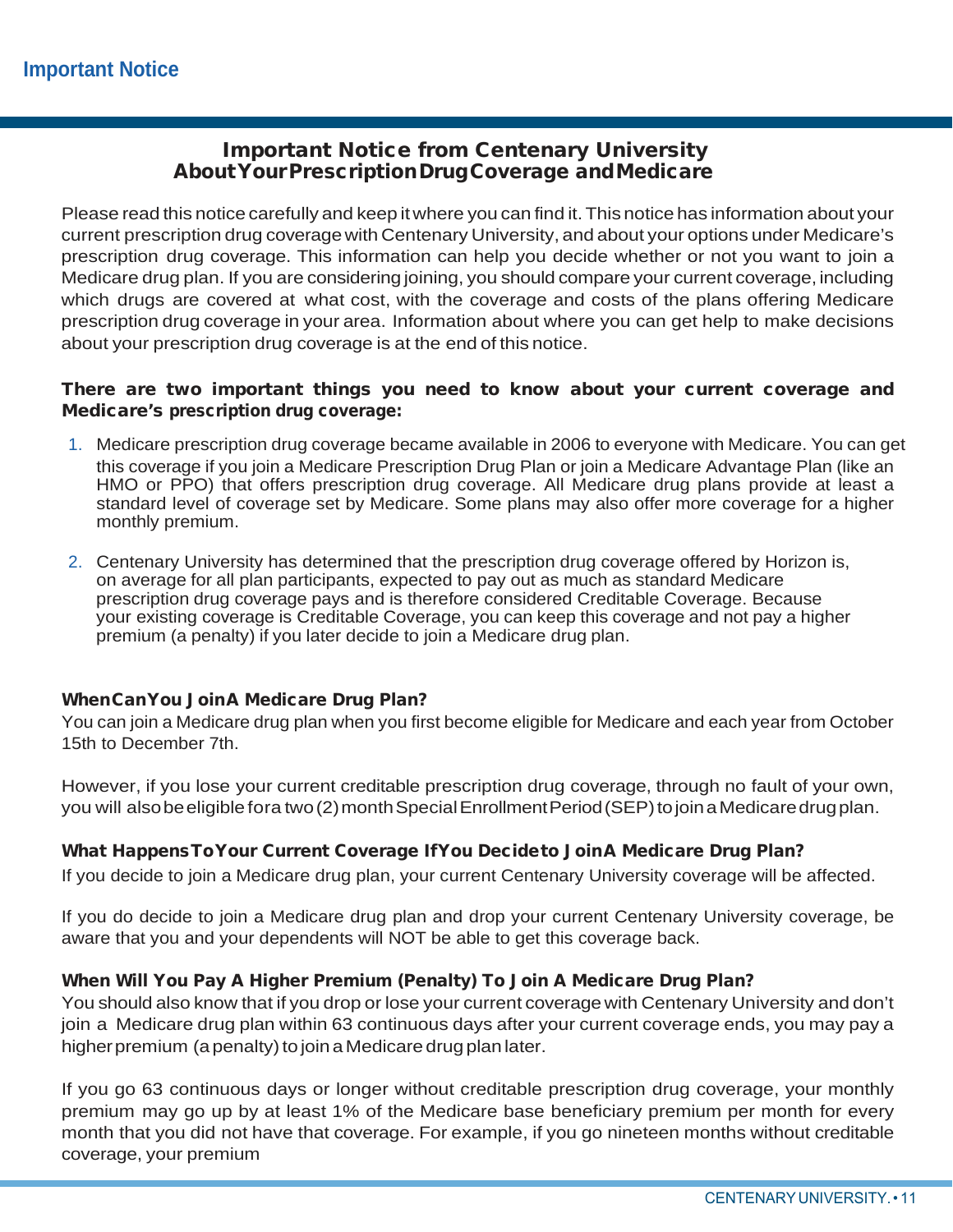# Important Notice from Centenary University AboutYourPrescriptionDrugCoverage andMedicare

Please read this notice carefully and keep itwhere you can find it.This notice has information about your current prescription drug coverage with Centenary University, and about your options under Medicare's prescription drug coverage. This information can help you decide whether or not you want to join a Medicare drug plan. If you are considering joining, you should compare your current coverage, including which drugs are covered at what cost, with the coverage and costs of the plans offering Medicare prescription drug coverage in your area. Information about where you can get help to make decisions about your prescription drug coverage is at the end of this notice.

### There are two important things you need to know about your current coverage and Medicare's prescription drug coverage:

- 1. Medicare prescription drug coverage became available in 2006 to everyone with Medicare. You can get this coverage if you join a Medicare Prescription Drug Plan or join a Medicare Advantage Plan (like an HMO or PPO) that offers prescription drug coverage. All Medicare drug plans provide at least a standard level of coverage set by Medicare. Some plans may also offer more coverage for a higher monthly premium.
- 2. Centenary University has determined that the prescription drug coverage offered by Horizon is, on average for all plan participants, expected to pay out as much as standard Medicare prescription drug coverage pays and is therefore considered Creditable Coverage. Because your existing coverage is Creditable Coverage, you can keep this coverage and not pay a higher premium (a penalty) if you later decide to join a Medicare drug plan.

### WhenCanYou JoinA Medicare Drug Plan?

You can join a Medicare drug plan when you first become eligible for Medicare and each year from October 15th to December 7th.

However, if you lose your current creditable prescription drug coverage, through no fault of your own, you will alsobe eligible fora two (2) month Special Enrollment Period (SEP) to join a Medicare drug plan.

### What HappensToYour Current Coverage IfYou Decideto JoinA Medicare Drug Plan?

If you decide to join a Medicare drug plan, your current Centenary University coverage will be affected.

If you do decide to join a Medicare drug plan and drop your current Centenary University coverage, be aware that you and your dependents will NOT be able to get this coverage back.

### When Will You Pay A Higher Premium (Penalty) To Join A Medicare Drug Plan?

You should also know that if you drop or lose your current coverage with Centenary University and don't join a Medicare drug plan within 63 continuous days after your current coverage ends, you may pay a higher premium (a penalty) to join a Medicare drug plan later.

If you go 63 continuous days or longer without creditable prescription drug coverage, your monthly premium may go up by at least 1% of the Medicare base beneficiary premium per month for every month that you did not have that coverage. For example, if you go nineteen months without creditable coverage, your premium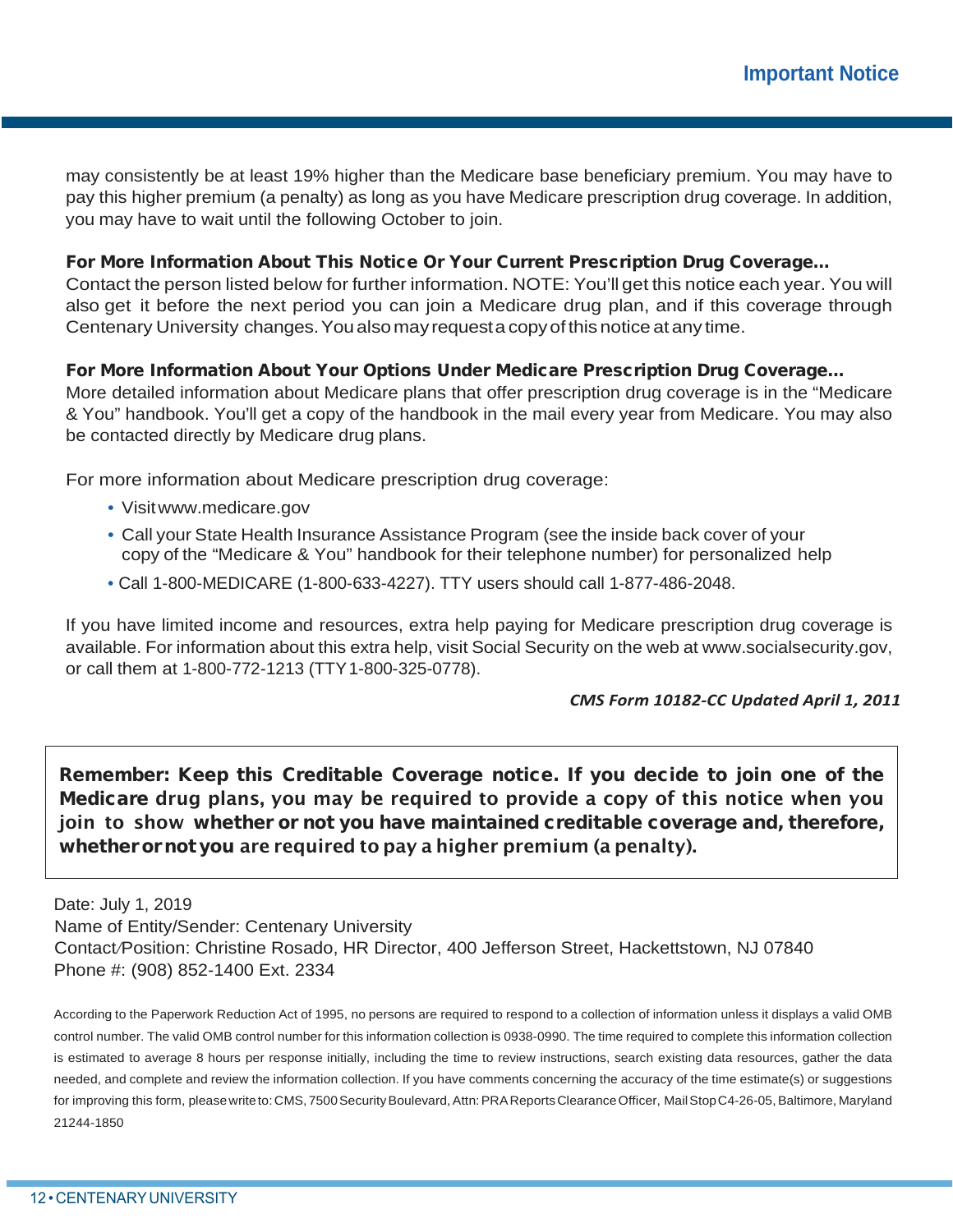may consistently be at least 19% higher than the Medicare base beneficiary premium. You may have to pay this higher premium (a penalty) as long as you have Medicare prescription drug coverage. In addition, you may have to wait until the following October to join.

### For More Information About This Notice Or Your Current Prescription Drug Coverage…

Contact the person listed below for further information. NOTE: You'll get this notice each year. You will also get it before the next period you can join a Medicare drug plan, and if this coverage through Centenary University changes.Youalsomayrequesta copyofthis notice atany time.

### For More Information About Your Options Under Medicare Prescription Drug Coverage…

More detailed information about Medicare plans that offer prescription drug coverage is in the "Medicare & You" handbook. You'll get a copy of the handbook in the mail every year from Medicare. You may also be contacted directly by Medicare drug plans.

For more information about Medicare prescription drug coverage:

- Visi[twww.medicare.gov](http://www.medicare.gov/)
- Call your State Health Insurance Assistance Program (see the inside back cover of your copy of the "Medicare & You" handbook for their telephone number) for personalized help
- Call 1-800-MEDICARE (1-800-633-4227). TTY users should call 1-877-486-2048.

If you have limited income and resources, extra help paying for Medicare prescription drug coverage is available. For information about this extra help, visit Social Security on the web at [www.socialsecurity.gov,](http://www.socialsecurity.gov/) or call them at 1-800-772-1213 (TTY1-800-325-0778).

#### *CMS Form 10182-CC Updated April 1, 2011*

Remember: Keep this Creditable Coverage notice. If you decide to join one of the Medicare drug plans, you may be required to provide a copy of this notice when you join to show whether or not you have maintained creditable coverage and, therefore, whether or not you are required to pay a higher premium (a penalty).

Date: July 1, 2019

Name of Entity/Sender: Centenary University

Contact*/*Position: Christine Rosado, HR Director, 400 Jefferson Street, Hackettstown, NJ 07840 Phone #: (908) 852-1400 Ext. 2334

According to the Paperwork Reduction Act of 1995, no persons are required to respond to a collection of information unless it displays a valid OMB control number. The valid OMB control number for this information collection is 0938-0990. The time required to complete this information collection is estimated to average 8 hours per response initially, including the time to review instructions, search existing data resources, gather the data needed, and complete and review the information collection. If you have comments concerning the accuracy of the time estimate(s) or suggestions for improving this form, please write to: CMS, 7500 Security Boulevard, Attn: PRA Reports Clearance Officer, Mail Stop C4-26-05, Baltimore, Maryland 21244-1850